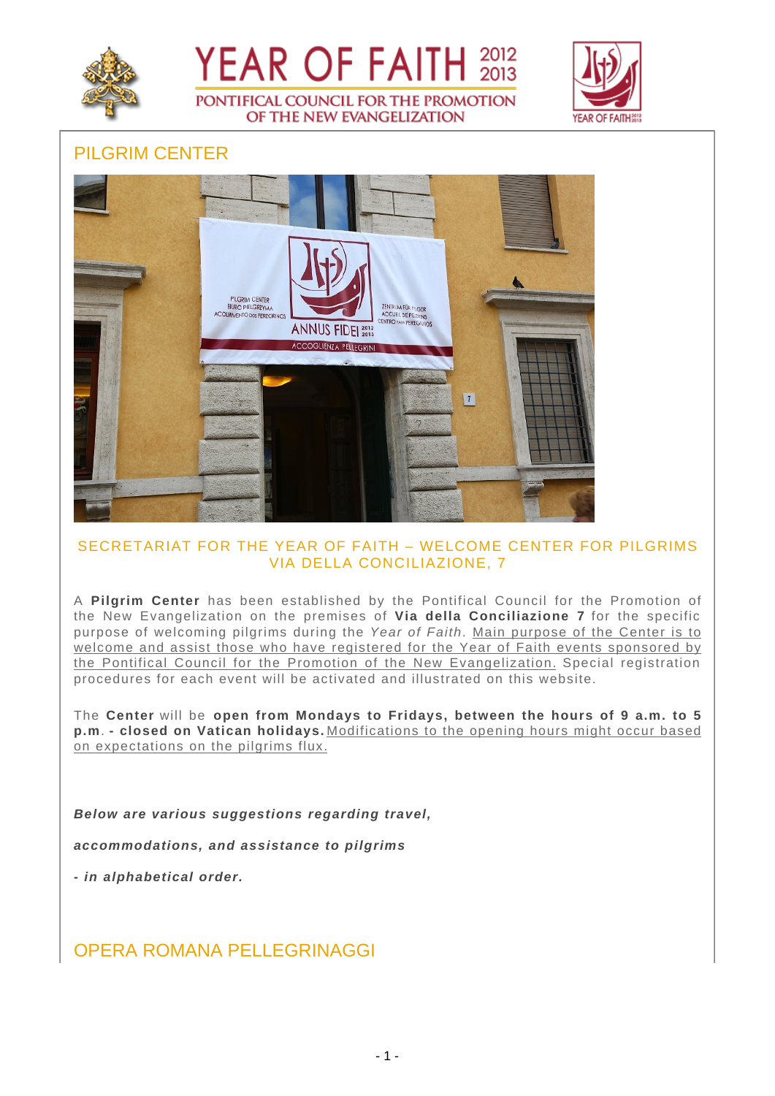





# PILGRIM CENTER



## SECRETARIAT FOR THE YEAR OF FAITH – WELCOME CENTER FOR PILGRIMS VIA DELLA CONCILIAZIONE, 7

A **Pilgrim Center** has been established by the Pontifical Council for the Promotion of the New Evangelization on the premises of **Via della Conciliazione 7** for the specific purpose of welcoming pilgrims during the Year of Faith. Main purpose of the Center is to welcome and assist those who have registered for the Year of Faith events sponsored by the Pontifical Council for the Promotion of the New Evangelization. Special registration procedures for each event will be activated and illustrated on this website.

The **Center** will be **open from Mondays to Fridays, between the hours of 9 a.m. to 5 p.m**. **- closed on Vatican holidays.** Modifications to the opening hours might occur based on expectations on the pilgrims flux.

**Below are various suggestions regarding travel,**

**accommodations, and assistance to pilgrims**

**- in alphabetical order.**

OPERA ROMANA PELLEGRINAGGI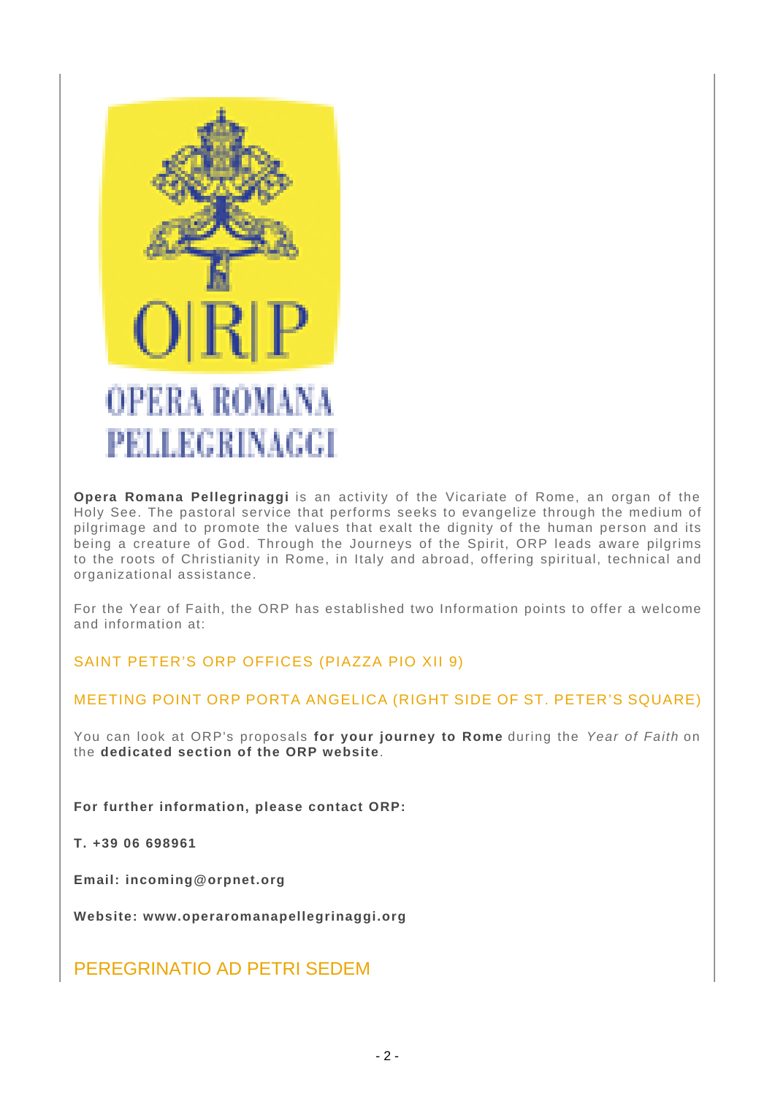

**Opera Romana Pellegrinaggi** is an activity of the Vicariate of Rome, an organ of the Holy See. The pastoral service that performs seeks to evangelize through the medium of pilgrimage and to promote the values that exalt the dignity of the human person and its being a creature of God. Through the Journeys of the Spirit, ORP leads aware pilgrims to the roots of Christianity in Rome, in Italy and abroad, offering spiritual, technical and organizational assistance.

For the Year of Faith, the ORP has established two Information points to offer a welcome and information at:

SAINT PETER'S ORP OFFICES (PIAZZA PIO XII 9)

## MEETING POINT ORP PORTA ANGELICA (RIGHT SIDE OF ST. PETER'S SQUARE)

You can look at ORP's proposals **for your journey to Rome** during the Year of Faith on the **dedicated section of the ORP website**.

**For further information, please contact ORP:**

**T. +39 06 698961**

**Email: incoming@orpnet.org**

**Website: www.operaromanapellegrinaggi.org**

PEREGRINATIO AD PETRI SEDEM